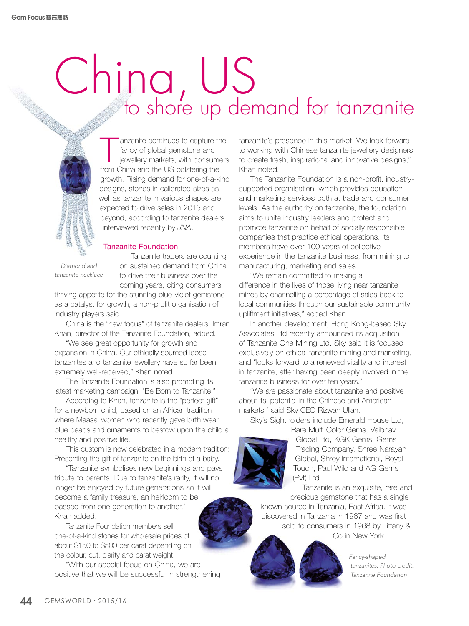## China, US to shore up demand for tanzanite

anzanite continues to capture the fancy of global gemstone and jewellery markets, with consumers from China and the US bolstering the growth. Rising demand for one-of-a-kind designs, stones in calibrated sizes as well as tanzanite in various shapes are expected to drive sales in 2015 and beyond, according to tanzanite dealers interviewed recently by *JNA*.

## Tanzanite Foundation

*Diamond and tanzanite necklace*

Tanzanite traders are counting on sustained demand from China to drive their business over the coming years, citing consumers'

thriving appetite for the stunning blue-violet gemstone as a catalyst for growth, a non-profit organisation of industry players said.

China is the "new focus" of tanzanite dealers, Imran Khan, director of the Tanzanite Foundation, added.

"We see great opportunity for growth and expansion in China. Our ethically sourced loose tanzanites and tanzanite jewellery have so far been extremely well-received," Khan noted.

The Tanzanite Foundation is also promoting its latest marketing campaign, "Be Born to Tanzanite."

According to Khan, tanzanite is the "perfect gift" for a newborn child, based on an African tradition where Maasai women who recently gave birth wear blue beads and ornaments to bestow upon the child a healthy and positive life.

This custom is now celebrated in a modern tradition: Presenting the gift of tanzanite on the birth of a baby.

"Tanzanite symbolises new beginnings and pays tribute to parents. Due to tanzanite's rarity, it will no longer be enjoyed by future generations so it will become a family treasure, an heirloom to be passed from one generation to another," Khan added.

Tanzanite Foundation members sell one-of-a-kind stones for wholesale prices of about \$150 to \$500 per carat depending on the colour, cut, clarity and carat weight.

"With our special focus on China, we are positive that we will be successful in strengthening tanzanite's presence in this market. We look forward to working with Chinese tanzanite jewellery designers to create fresh, inspirational and innovative designs," Khan noted.

The Tanzanite Foundation is a non-profit, industrysupported organisation, which provides education and marketing services both at trade and consumer levels. As the authority on tanzanite, the foundation aims to unite industry leaders and protect and promote tanzanite on behalf of socially responsible companies that practice ethical operations. Its members have over 100 years of collective experience in the tanzanite business, from mining to manufacturing, marketing and sales.

"We remain committed to making a difference in the lives of those living near tanzanite mines by channelling a percentage of sales back to local communities through our sustainable community upliftment initiatives," added Khan.

In another development, Hong Kong-based Sky Associates Ltd recently announced its acquisition of Tanzanite One Mining Ltd. Sky said it is focused exclusively on ethical tanzanite mining and marketing, and "looks forward to a renewed vitality and interest in tanzanite, after having been deeply involved in the tanzanite business for over ten years."

"We are passionate about tanzanite and positive about its' potential in the Chinese and American markets," said Sky CEO Rizwan Ullah.

Sky's Sightholders include Emerald House Ltd,

Rare Multi Color Gems, Vaibhav Global Ltd, KGK Gems, Gems Trading Company, Shree Narayan Global, Shrey International, Royal Touch, Paul Wild and AG Gems (Pvt) Ltd.

Tanzanite is an exquisite, rare and precious gemstone that has a single known source in Tanzania, East Africa. It was discovered in Tanzania in 1967 and was first sold to consumers in 1968 by Tiffany & Co in New York.

> *Fancy-shaped tanzanites. Photo credit: Tanzanite Foundation*